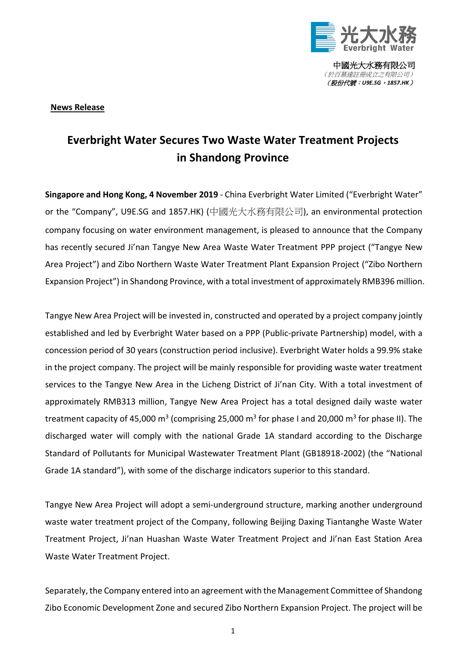

中國光大水務有限公司 (於百慕達註冊成立之有限公司) (股份代號:*U9E.SG*,*1857.HK*)

## **News Release**

## **Everbright Water Secures Two Waste Water Treatment Projects in Shandong Province**

**Singapore and Hong Kong, 4 November 2019** - China Everbright Water Limited ("Everbright Water" or the "Company", U9E.SG and 1857.HK) (中國光大水務有限公司), an environmental protection company focusing on water environment management, is pleased to announce that the Company has recently secured Ji'nan Tangye New Area Waste Water Treatment PPP project ("Tangye New Area Project") and Zibo Northern Waste Water Treatment Plant Expansion Project ("Zibo Northern Expansion Project") in Shandong Province, with a total investment of approximately RMB396 million.

Tangye New Area Project will be invested in, constructed and operated by a project company jointly established and led by Everbright Water based on a PPP (Public-private Partnership) model, with a concession period of 30 years (construction period inclusive). Everbright Water holds a 99.9% stake in the project company. The project will be mainly responsible for providing waste water treatment services to the Tangye New Area in the Licheng District of Ji'nan City. With a total investment of approximately RMB313 million, Tangye New Area Project has a total designed daily waste water treatment capacity of 45,000 m<sup>3</sup> (comprising 25,000 m<sup>3</sup> for phase I and 20,000 m<sup>3</sup> for phase II). The discharged water will comply with the national Grade 1A standard according to the Discharge Standard of Pollutants for Municipal Wastewater Treatment Plant (GB18918-2002) (the "National Grade 1A standard"), with some of the discharge indicators superior to this standard.

Tangye New Area Project will adopt a semi-underground structure, marking another underground waste water treatment project of the Company, following Beijing Daxing Tiantanghe Waste Water Treatment Project, Ji'nan Huashan Waste Water Treatment Project and Ji'nan East Station Area Waste Water Treatment Project.

Separately, the Company entered into an agreement with the Management Committee of Shandong Zibo Economic Development Zone and secured Zibo Northern Expansion Project. The project will be